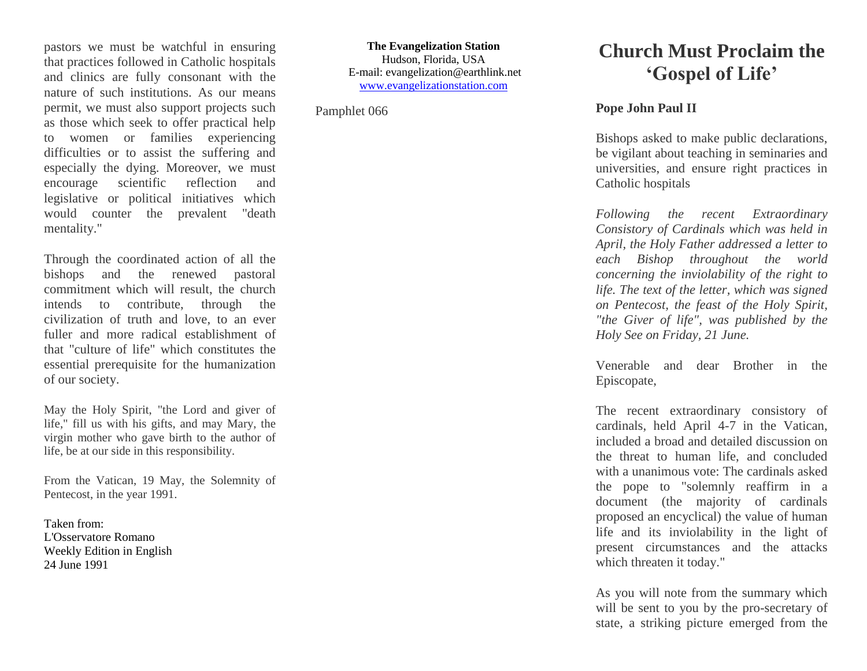pastors we must be watchful in ensuring that practices followed in Catholic hospitals and clinics are fully consonant with the nature of such institutions. As our means permit, we must also support projects such as those which seek to offer practical help to women or families experiencing difficulties or to assist the suffering and especially the dying. Moreover, we must encourage scientific reflection and legislative or political initiatives which would counter the prevalent "death mentality."

Through the coordinated action of all the bishops and the renewed pastoral commitment which will result, the church intends to contribute, through the civilization of truth and love, to an ever fuller and more radical establishment of that "culture of life" which constitutes the essential prerequisite for the humanization of our society.

May the Holy Spirit, "the Lord and giver of life," fill us with his gifts, and may Mary, the virgin mother who gave birth to the author of life, be at our side in this responsibility.

From the Vatican, 19 May, the Solemnity of Pentecost, in the year 1991.

Taken from: L'Osservatore Romano Weekly Edition in English 24 June 1991

**The Evangelization Station** Hudson, Florida, USA E-mail: evangelization@earthlink.net [www.evangelizationstation.com](http://www.pjpiisoe.org/)

Pamphlet 066

## **Church Must Proclaim the 'Gospel of Life'**

## **Pope John Paul II**

Bishops asked to make public declarations, be vigilant about teaching in seminaries and universities, and ensure right practices in Catholic hospitals

*Following the recent Extraordinary Consistory of Cardinals which was held in April, the Holy Father addressed a letter to each Bishop throughout the world concerning the inviolability of the right to life. The text of the letter, which was signed on Pentecost, the feast of the Holy Spirit, "the Giver of life", was published by the Holy See on Friday, 21 June.*

Venerable and dear Brother in the Episcopate,

The recent extraordinary consistory of cardinals, held April 4-7 in the Vatican, included a broad and detailed discussion on the threat to human life, and concluded with a unanimous vote: The cardinals asked the pope to "solemnly reaffirm in a document (the majority of cardinals proposed an encyclical) the value of human life and its inviolability in the light of present circumstances and the attacks which threaten it today."

As you will note from the summary which will be sent to you by the pro-secretary of state, a striking picture emerged from the